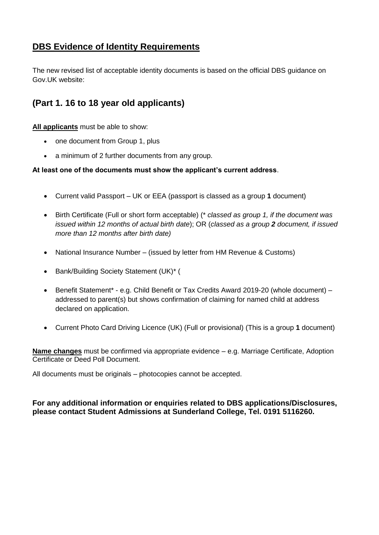## **DBS Evidence of Identity Requirements**

The new revised list of acceptable identity documents is based on the official DBS guidance on Gov.UK website:

# **(Part 1. 16 to 18 year old applicants)**

**All applicants** must be able to show:

- one document from Group 1, plus
- a minimum of 2 further documents from any group.

### **At least one of the documents must show the applicant's current address**.

- Current valid Passport UK or EEA (passport is classed as a group **1** document)
- Birth Certificate (Full or short form acceptable) (\* *classed as group 1, if the document was issued within 12 months of actual birth date*); OR (*classed as a group 2 document, if issued more than 12 months after birth date)*
- National Insurance Number (issued by letter from HM Revenue & Customs)
- Bank/Building Society Statement (UK)\* (
- Benefit Statement\* e.g. Child Benefit or Tax Credits Award 2019-20 (whole document) addressed to parent(s) but shows confirmation of claiming for named child at address declared on application.
- Current Photo Card Driving Licence (UK) (Full or provisional) (This is a group **1** document)

**Name changes** must be confirmed via appropriate evidence – e.g. Marriage Certificate, Adoption Certificate or Deed Poll Document.

All documents must be originals – photocopies cannot be accepted.

### **For any additional information or enquiries related to DBS applications/Disclosures, please contact Student Admissions at Sunderland College, Tel. 0191 5116260.**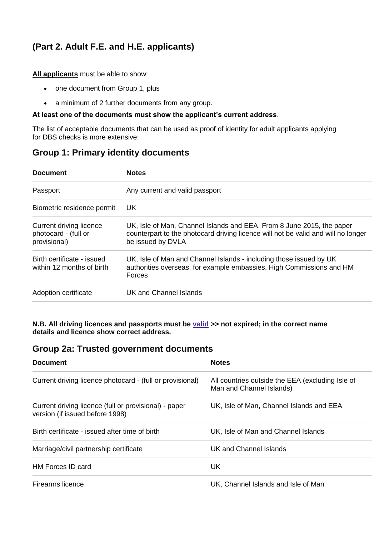# **(Part 2. Adult F.E. and H.E. applicants)**

**All applicants** must be able to show:

- one document from Group 1, plus
- a minimum of 2 further documents from any group.

#### **At least one of the documents must show the applicant's current address**.

The list of acceptable documents that can be used as proof of identity for adult applicants applying for DBS checks is more extensive:

## **Group 1: Primary identity documents**

| <b>Document</b>                                                 | <b>Notes</b>                                                                                                                                                                    |  |  |
|-----------------------------------------------------------------|---------------------------------------------------------------------------------------------------------------------------------------------------------------------------------|--|--|
| Passport                                                        | Any current and valid passport                                                                                                                                                  |  |  |
| Biometric residence permit                                      | UK.                                                                                                                                                                             |  |  |
| Current driving licence<br>photocard - (full or<br>provisional) | UK, Isle of Man, Channel Islands and EEA. From 8 June 2015, the paper<br>counterpart to the photocard driving licence will not be valid and will no longer<br>be issued by DVLA |  |  |
| Birth certificate - issued<br>within 12 months of birth         | UK, Isle of Man and Channel Islands - including those issued by UK<br>authorities overseas, for example embassies, High Commissions and HM<br>Forces                            |  |  |
| Adoption certificate                                            | UK and Channel Islands                                                                                                                                                          |  |  |

**N.B. All driving licences and passports must be [valid](https://www.gov.uk/driving-nongb-licence) >> not expired; in the correct name details and licence show correct address.**

### **Group 2a: Trusted government documents**

| <b>Document</b>                                                                          | <b>Notes</b>                                                                 |  |
|------------------------------------------------------------------------------------------|------------------------------------------------------------------------------|--|
| Current driving licence photocard - (full or provisional)                                | All countries outside the EEA (excluding Isle of<br>Man and Channel Islands) |  |
| Current driving licence (full or provisional) - paper<br>version (if issued before 1998) | UK, Isle of Man, Channel Islands and EEA                                     |  |
| Birth certificate - issued after time of birth                                           | UK, Isle of Man and Channel Islands                                          |  |
| Marriage/civil partnership certificate                                                   | UK and Channel Islands                                                       |  |
| HM Forces ID card                                                                        | <b>UK</b>                                                                    |  |
| Firearms licence                                                                         | UK, Channel Islands and Isle of Man                                          |  |